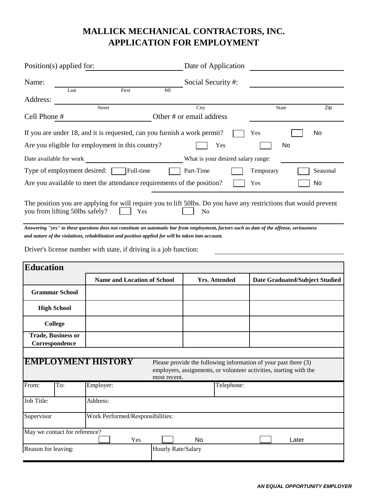## **APPLICATION FOR EMPLOYMENT MALLICK MECHANICAL CONTRACTORS, INC.**

|                                                                                                                                                                                                                                                                                                                                                                                                                    | Position(s) applied for:                                      |                                                                          |              | Date of Application                                                                                                                   |                                       |  |  |  |
|--------------------------------------------------------------------------------------------------------------------------------------------------------------------------------------------------------------------------------------------------------------------------------------------------------------------------------------------------------------------------------------------------------------------|---------------------------------------------------------------|--------------------------------------------------------------------------|--------------|---------------------------------------------------------------------------------------------------------------------------------------|---------------------------------------|--|--|--|
| Name:                                                                                                                                                                                                                                                                                                                                                                                                              |                                                               |                                                                          |              | Social Security#:                                                                                                                     |                                       |  |  |  |
| Address:                                                                                                                                                                                                                                                                                                                                                                                                           | Last                                                          | First                                                                    | MI           |                                                                                                                                       |                                       |  |  |  |
| Cell Phone #                                                                                                                                                                                                                                                                                                                                                                                                       |                                                               | <b>Street</b>                                                            |              | City<br>Other # or email address                                                                                                      | <b>State</b><br>Zip                   |  |  |  |
|                                                                                                                                                                                                                                                                                                                                                                                                                    |                                                               | If you are under 18, and it is requested, can you furnish a work permit? |              |                                                                                                                                       | Yes<br>No                             |  |  |  |
|                                                                                                                                                                                                                                                                                                                                                                                                                    | Are you eligible for employment in this country?<br>No<br>Yes |                                                                          |              |                                                                                                                                       |                                       |  |  |  |
|                                                                                                                                                                                                                                                                                                                                                                                                                    | Date available for work                                       |                                                                          |              | What is your desired salary range:                                                                                                    |                                       |  |  |  |
|                                                                                                                                                                                                                                                                                                                                                                                                                    |                                                               | Type of employment desired: $\sqrt{\phantom{a}}$<br>Full-time            |              | Part-Time                                                                                                                             | Seasonal<br>Temporary                 |  |  |  |
|                                                                                                                                                                                                                                                                                                                                                                                                                    |                                                               | Are you available to meet the attendance requirements of the position?   |              |                                                                                                                                       | No<br>Yes                             |  |  |  |
| The position you are applying for will require you to lift 50lbs. Do you have any restrictions that would prevent<br>you from lifting 50lbs safely?<br>Yes<br>No<br>Answering "yes" to these questions does not constitute an automatic bar from employment, factors such as date of the offense, seriousness<br>and nature of the violations, rehabilitation and position applied for will be taken into account. |                                                               |                                                                          |              |                                                                                                                                       |                                       |  |  |  |
|                                                                                                                                                                                                                                                                                                                                                                                                                    |                                                               | Driver's license number with state, if driving is a job function:        |              |                                                                                                                                       |                                       |  |  |  |
|                                                                                                                                                                                                                                                                                                                                                                                                                    |                                                               |                                                                          |              |                                                                                                                                       |                                       |  |  |  |
|                                                                                                                                                                                                                                                                                                                                                                                                                    |                                                               |                                                                          |              |                                                                                                                                       |                                       |  |  |  |
| <b>Education</b>                                                                                                                                                                                                                                                                                                                                                                                                   |                                                               | <b>Name and Location of School</b>                                       |              | <b>Yrs. Attended</b>                                                                                                                  | <b>Date Graduated/Subject Studied</b> |  |  |  |
|                                                                                                                                                                                                                                                                                                                                                                                                                    | <b>Grammar School</b>                                         |                                                                          |              |                                                                                                                                       |                                       |  |  |  |
|                                                                                                                                                                                                                                                                                                                                                                                                                    | <b>High School</b>                                            |                                                                          |              |                                                                                                                                       |                                       |  |  |  |
|                                                                                                                                                                                                                                                                                                                                                                                                                    | <b>College</b>                                                |                                                                          |              |                                                                                                                                       |                                       |  |  |  |
|                                                                                                                                                                                                                                                                                                                                                                                                                    | <b>Trade, Business or</b><br>Correspondence                   |                                                                          |              |                                                                                                                                       |                                       |  |  |  |
|                                                                                                                                                                                                                                                                                                                                                                                                                    |                                                               | <b>EMPLOYMENT HISTORY</b>                                                |              | Please provide the following information of your past three (3)<br>employers, assignments, or volunteer activities, starting with the |                                       |  |  |  |
| From:                                                                                                                                                                                                                                                                                                                                                                                                              | To:                                                           | Employer:                                                                | most recent. | Telephone:                                                                                                                            |                                       |  |  |  |
| Job Title:                                                                                                                                                                                                                                                                                                                                                                                                         |                                                               | Address:                                                                 |              |                                                                                                                                       |                                       |  |  |  |
| Supervisor                                                                                                                                                                                                                                                                                                                                                                                                         |                                                               | Work Performed/Responsibilities:                                         |              |                                                                                                                                       |                                       |  |  |  |
|                                                                                                                                                                                                                                                                                                                                                                                                                    | May we contact for reference?                                 | Yes                                                                      |              | No                                                                                                                                    | Later                                 |  |  |  |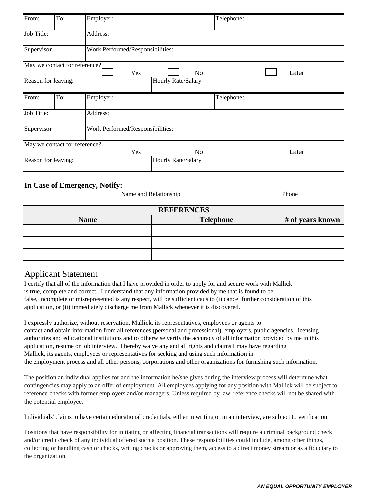| From:                                          | To:                           | Employer: |     |                           |    | Telephone: |       |
|------------------------------------------------|-------------------------------|-----------|-----|---------------------------|----|------------|-------|
| Job Title:                                     |                               | Address:  |     |                           |    |            |       |
| Supervisor<br>Work Performed/Responsibilities: |                               |           |     |                           |    |            |       |
|                                                | May we contact for reference? |           | Yes |                           | No |            | Later |
| Reason for leaving:                            |                               |           |     | <b>Hourly Rate/Salary</b> |    |            |       |
| From:                                          | To:                           | Employer: |     |                           |    | Telephone: |       |
| Job Title:                                     |                               | Address:  |     |                           |    |            |       |
| Supervisor<br>Work Performed/Responsibilities: |                               |           |     |                           |    |            |       |
|                                                | May we contact for reference? |           | Yes |                           | No |            | Later |
| Reason for leaving:                            |                               |           |     | <b>Hourly Rate/Salary</b> |    |            |       |

## **In Case of Emergency, Notify:**

| Name and Relationship<br>Phone |  |
|--------------------------------|--|

| <b>REFERENCES</b> |                  |                  |  |  |
|-------------------|------------------|------------------|--|--|
| <b>Name</b>       | <b>Telephone</b> | # of years known |  |  |
|                   |                  |                  |  |  |
|                   |                  |                  |  |  |
|                   |                  |                  |  |  |

## Applicant Statement

I certify that all of the information that I have provided in order to apply for and secure work with Mallick is true, complete and correct. I understand that any information provided by me that is found to be false, incomplete or misrepresented is any respect, will be sufficient caus to (i) cancel further consideration of this application, or (ii) immediately discharge me from Mallick whenever it is discovered.

I expressly authorize, without reservation, Mallick, its representatives, employees or agents to contact and obtain information from all references (personal and professional), employers, public agencies, licensing authorities and educational institutions and to otherwise verify the accuracy of all information provided by me in this application, resume or job interview. I hereby waive any and all rights and claims I may have regarding Mallick, its agents, employees or representatives for seeking and using such information in the employment process and all other persons, corporations and other organizations for furnishing such information.

The position an individual applies for and the information he/she gives during the interview process will determine what contingencies may apply to an offer of employment. All employees applying for any position with Mallick will be subject to reference checks with former employers and/or managers. Unless required by law, reference checks will not be shared with the potential employee.

Individuals' claims to have certain educational credentials, either in writing or in an interview, are subject to verification.

Positions that have responsibility for initiating or affecting financial transactions will require a criminal background check and/or credit check of any individual offered such a position. These responsibilities could include, among other things, collecting or handling cash or checks, writing checks or approving them, access to a direct money stream or as a fiduciary to the organization.